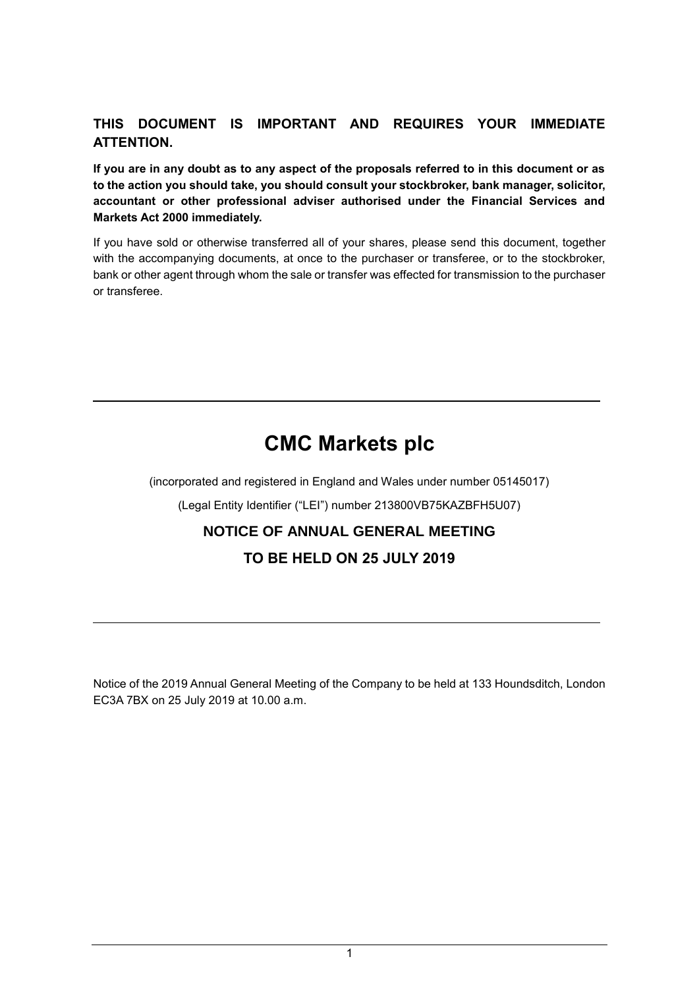# **THIS DOCUMENT IS IMPORTANT AND REQUIRES YOUR IMMEDIATE ATTENTION.**

**If you are in any doubt as to any aspect of the proposals referred to in this document or as to the action you should take, you should consult your stockbroker, bank manager, solicitor, accountant or other professional adviser authorised under the Financial Services and Markets Act 2000 immediately.**

If you have sold or otherwise transferred all of your shares, please send this document, together with the accompanying documents, at once to the purchaser or transferee, or to the stockbroker, bank or other agent through whom the sale or transfer was effected for transmission to the purchaser or transferee.

# **CMC Markets plc**

(incorporated and registered in England and Wales under number 05145017)

(Legal Entity Identifier ("LEI") number 213800VB75KAZBFH5U07)

# **NOTICE OF ANNUAL GENERAL MEETING**

# **TO BE HELD ON 25 JULY 2019**

Notice of the 2019 Annual General Meeting of the Company to be held at 133 Houndsditch, London EC3A 7BX on 25 July 2019 at 10.00 a.m.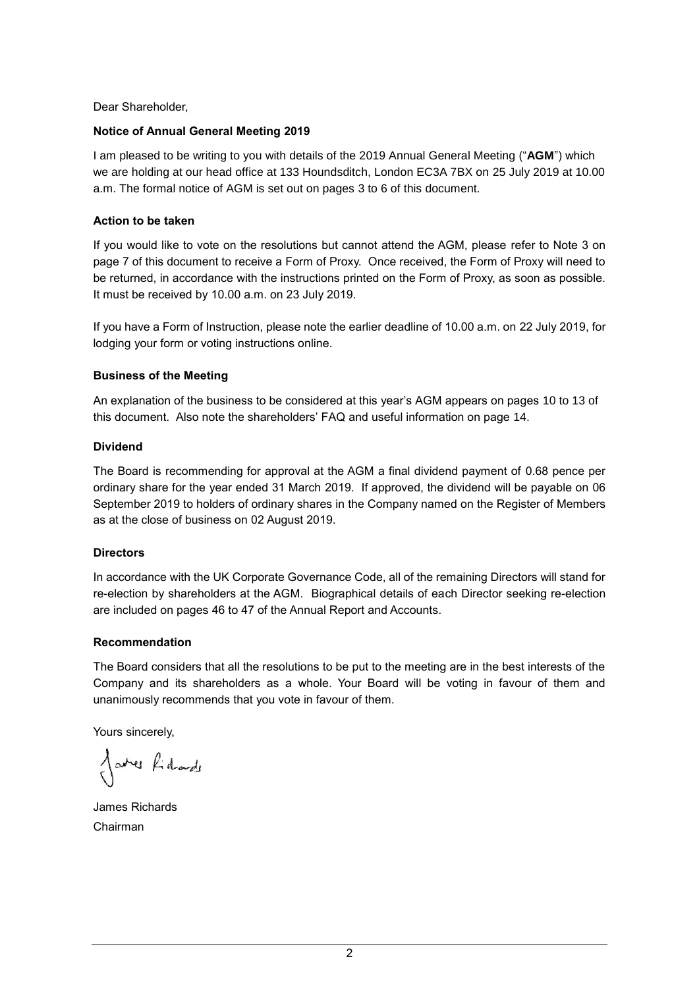Dear Shareholder,

### **Notice of Annual General Meeting 2019**

I am pleased to be writing to you with details of the 2019 Annual General Meeting ("**AGM**") which we are holding at our head office at 133 Houndsditch, London EC3A 7BX on 25 July 2019 at 10.00 a.m. The formal notice of AGM is set out on pages 3 to 6 of this document.

### **Action to be taken**

If you would like to vote on the resolutions but cannot attend the AGM, please refer to Note 3 on page 7 of this document to receive a Form of Proxy. Once received, the Form of Proxy will need to be returned, in accordance with the instructions printed on the Form of Proxy, as soon as possible. It must be received by 10.00 a.m. on 23 July 2019.

If you have a Form of Instruction, please note the earlier deadline of 10.00 a.m. on 22 July 2019, for lodging your form or voting instructions online.

### **Business of the Meeting**

An explanation of the business to be considered at this year's AGM appears on pages 10 to 13 of this document. Also note the shareholders' FAQ and useful information on page 14.

### **Dividend**

The Board is recommending for approval at the AGM a final dividend payment of 0.68 pence per ordinary share for the year ended 31 March 2019. If approved, the dividend will be payable on 06 September 2019 to holders of ordinary shares in the Company named on the Register of Members as at the close of business on 02 August 2019.

### **Directors**

In accordance with the UK Corporate Governance Code, all of the remaining Directors will stand for re-election by shareholders at the AGM. Biographical details of each Director seeking re-election are included on pages 46 to 47 of the Annual Report and Accounts.

### **Recommendation**

The Board considers that all the resolutions to be put to the meeting are in the best interests of the Company and its shareholders as a whole. Your Board will be voting in favour of them and unanimously recommends that you vote in favour of them.

Yours sincerely,

Jares fidade

James Richards Chairman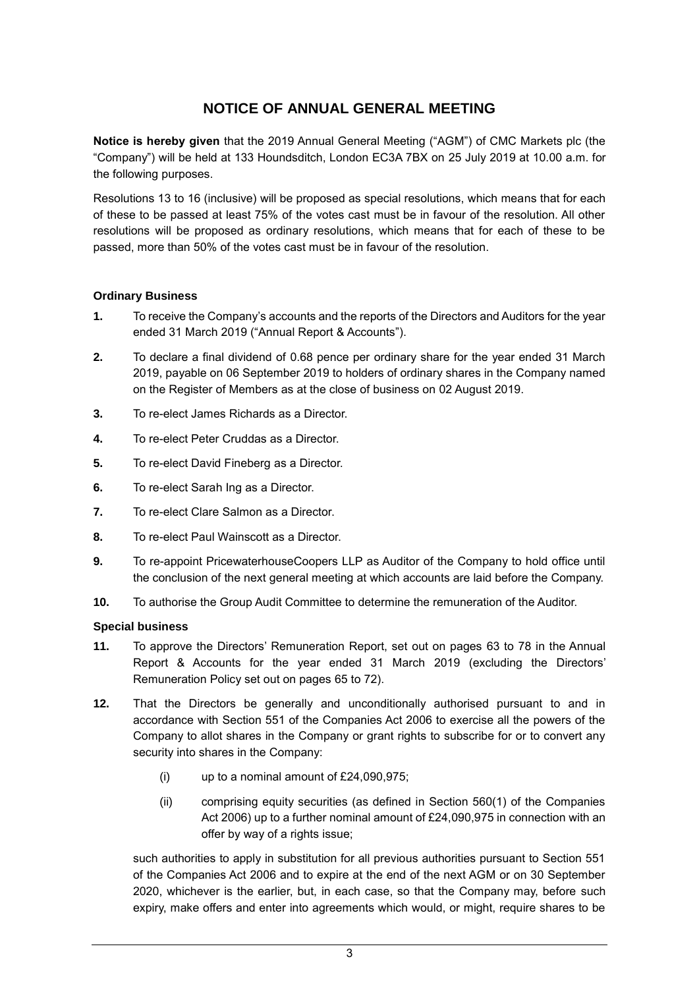# **NOTICE OF ANNUAL GENERAL MEETING**

**Notice is hereby given** that the 2019 Annual General Meeting ("AGM") of CMC Markets plc (the "Company") will be held at 133 Houndsditch, London EC3A 7BX on 25 July 2019 at 10.00 a.m. for the following purposes.

Resolutions 13 to 16 (inclusive) will be proposed as special resolutions, which means that for each of these to be passed at least 75% of the votes cast must be in favour of the resolution. All other resolutions will be proposed as ordinary resolutions, which means that for each of these to be passed, more than 50% of the votes cast must be in favour of the resolution.

### **Ordinary Business**

- **1.** To receive the Company's accounts and the reports of the Directors and Auditors for the year ended 31 March 2019 ("Annual Report & Accounts").
- **2.** To declare a final dividend of 0.68 pence per ordinary share for the year ended 31 March 2019, payable on 06 September 2019 to holders of ordinary shares in the Company named on the Register of Members as at the close of business on 02 August 2019.
- **3.** To re-elect James Richards as a Director.
- **4.** To re-elect Peter Cruddas as a Director.
- **5.** To re-elect David Fineberg as a Director.
- **6.** To re-elect Sarah Ing as a Director.
- **7.** To re-elect Clare Salmon as a Director.
- **8.** To re-elect Paul Wainscott as a Director.
- **9.** To re-appoint PricewaterhouseCoopers LLP as Auditor of the Company to hold office until the conclusion of the next general meeting at which accounts are laid before the Company.
- **10.** To authorise the Group Audit Committee to determine the remuneration of the Auditor.

### **Special business**

- **11.** To approve the Directors' Remuneration Report, set out on pages 63 to 78 in the Annual Report & Accounts for the year ended 31 March 2019 (excluding the Directors' Remuneration Policy set out on pages 65 to 72).
- **12.** That the Directors be generally and unconditionally authorised pursuant to and in accordance with Section 551 of the Companies Act 2006 to exercise all the powers of the Company to allot shares in the Company or grant rights to subscribe for or to convert any security into shares in the Company:
	- (i) up to a nominal amount of  $£24,090,975;$
	- (ii) comprising equity securities (as defined in Section 560(1) of the Companies Act 2006) up to a further nominal amount of £24,090,975 in connection with an offer by way of a rights issue;

such authorities to apply in substitution for all previous authorities pursuant to Section 551 of the Companies Act 2006 and to expire at the end of the next AGM or on 30 September 2020, whichever is the earlier, but, in each case, so that the Company may, before such expiry, make offers and enter into agreements which would, or might, require shares to be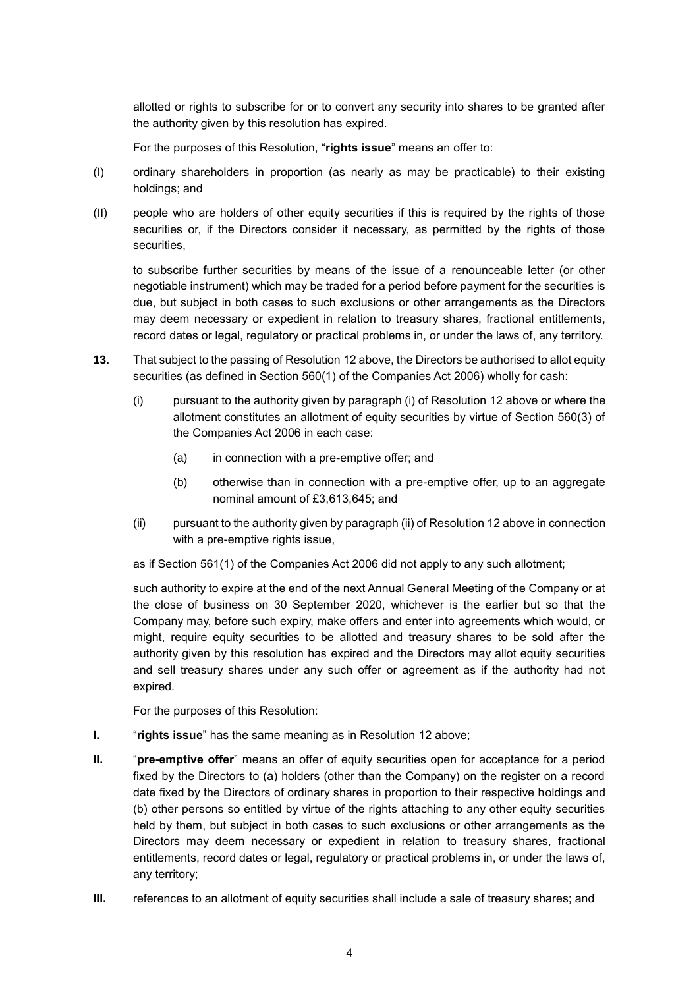allotted or rights to subscribe for or to convert any security into shares to be granted after the authority given by this resolution has expired.

For the purposes of this Resolution, "**rights issue**" means an offer to:

- (I) ordinary shareholders in proportion (as nearly as may be practicable) to their existing holdings; and
- (II) people who are holders of other equity securities if this is required by the rights of those securities or, if the Directors consider it necessary, as permitted by the rights of those securities,

to subscribe further securities by means of the issue of a renounceable letter (or other negotiable instrument) which may be traded for a period before payment for the securities is due, but subject in both cases to such exclusions or other arrangements as the Directors may deem necessary or expedient in relation to treasury shares, fractional entitlements, record dates or legal, regulatory or practical problems in, or under the laws of, any territory.

- **13.** That subject to the passing of Resolution 12 above, the Directors be authorised to allot equity securities (as defined in Section 560(1) of the Companies Act 2006) wholly for cash:
	- (i) pursuant to the authority given by paragraph (i) of Resolution 12 above or where the allotment constitutes an allotment of equity securities by virtue of Section 560(3) of the Companies Act 2006 in each case:
		- (a) in connection with a pre-emptive offer; and
		- (b) otherwise than in connection with a pre-emptive offer, up to an aggregate nominal amount of £3,613,645; and
	- (ii) pursuant to the authority given by paragraph (ii) of Resolution 12 above in connection with a pre-emptive rights issue,

as if Section 561(1) of the Companies Act 2006 did not apply to any such allotment;

such authority to expire at the end of the next Annual General Meeting of the Company or at the close of business on 30 September 2020, whichever is the earlier but so that the Company may, before such expiry, make offers and enter into agreements which would, or might, require equity securities to be allotted and treasury shares to be sold after the authority given by this resolution has expired and the Directors may allot equity securities and sell treasury shares under any such offer or agreement as if the authority had not expired.

For the purposes of this Resolution:

- **I.** "**rights issue**" has the same meaning as in Resolution 12 above;
- **II.** "**pre-emptive offer**" means an offer of equity securities open for acceptance for a period fixed by the Directors to (a) holders (other than the Company) on the register on a record date fixed by the Directors of ordinary shares in proportion to their respective holdings and (b) other persons so entitled by virtue of the rights attaching to any other equity securities held by them, but subject in both cases to such exclusions or other arrangements as the Directors may deem necessary or expedient in relation to treasury shares, fractional entitlements, record dates or legal, regulatory or practical problems in, or under the laws of, any territory;
- **III.** references to an allotment of equity securities shall include a sale of treasury shares; and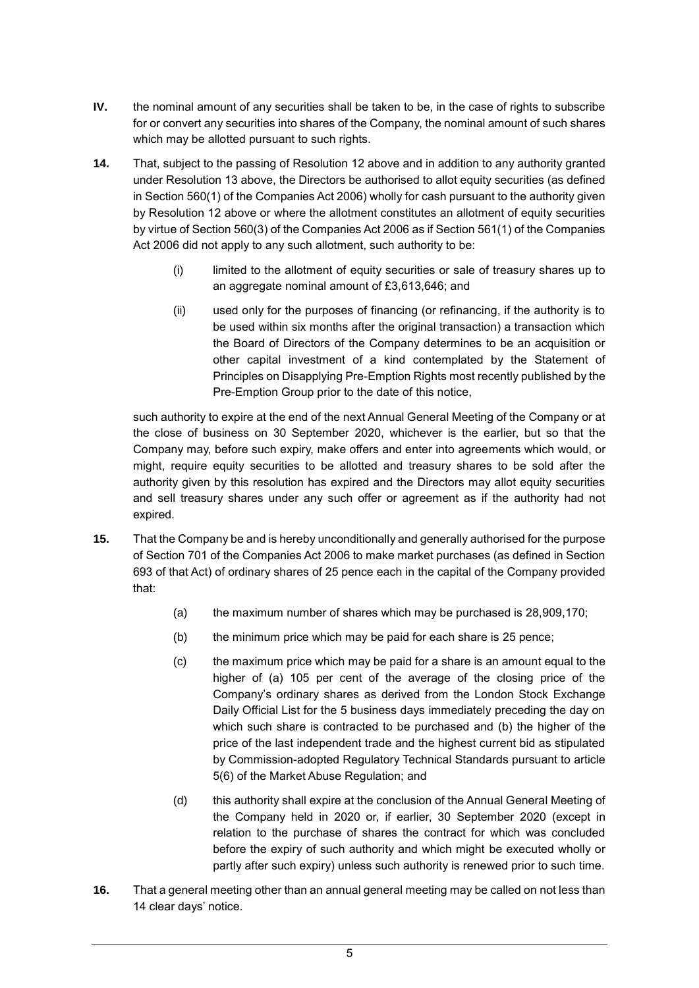- **IV.** the nominal amount of any securities shall be taken to be, in the case of rights to subscribe for or convert any securities into shares of the Company, the nominal amount of such shares which may be allotted pursuant to such rights.
- **14.** That, subject to the passing of Resolution 12 above and in addition to any authority granted under Resolution 13 above, the Directors be authorised to allot equity securities (as defined in Section 560(1) of the Companies Act 2006) wholly for cash pursuant to the authority given by Resolution 12 above or where the allotment constitutes an allotment of equity securities by virtue of Section 560(3) of the Companies Act 2006 as if Section 561(1) of the Companies Act 2006 did not apply to any such allotment, such authority to be:
	- (i) limited to the allotment of equity securities or sale of treasury shares up to an aggregate nominal amount of £3,613,646; and
	- (ii) used only for the purposes of financing (or refinancing, if the authority is to be used within six months after the original transaction) a transaction which the Board of Directors of the Company determines to be an acquisition or other capital investment of a kind contemplated by the Statement of Principles on Disapplying Pre-Emption Rights most recently published by the Pre-Emption Group prior to the date of this notice,

such authority to expire at the end of the next Annual General Meeting of the Company or at the close of business on 30 September 2020, whichever is the earlier, but so that the Company may, before such expiry, make offers and enter into agreements which would, or might, require equity securities to be allotted and treasury shares to be sold after the authority given by this resolution has expired and the Directors may allot equity securities and sell treasury shares under any such offer or agreement as if the authority had not expired.

- **15.** That the Company be and is hereby unconditionally and generally authorised for the purpose of Section 701 of the Companies Act 2006 to make market purchases (as defined in Section 693 of that Act) of ordinary shares of 25 pence each in the capital of the Company provided that:
	- (a) the maximum number of shares which may be purchased is 28,909,170;
	- (b) the minimum price which may be paid for each share is 25 pence;
	- (c) the maximum price which may be paid for a share is an amount equal to the higher of (a) 105 per cent of the average of the closing price of the Company's ordinary shares as derived from the London Stock Exchange Daily Official List for the 5 business days immediately preceding the day on which such share is contracted to be purchased and (b) the higher of the price of the last independent trade and the highest current bid as stipulated by Commission-adopted Regulatory Technical Standards pursuant to article 5(6) of the Market Abuse Regulation; and
	- (d) this authority shall expire at the conclusion of the Annual General Meeting of the Company held in 2020 or, if earlier, 30 September 2020 (except in relation to the purchase of shares the contract for which was concluded before the expiry of such authority and which might be executed wholly or partly after such expiry) unless such authority is renewed prior to such time.
- **16.** That a general meeting other than an annual general meeting may be called on not less than 14 clear days' notice.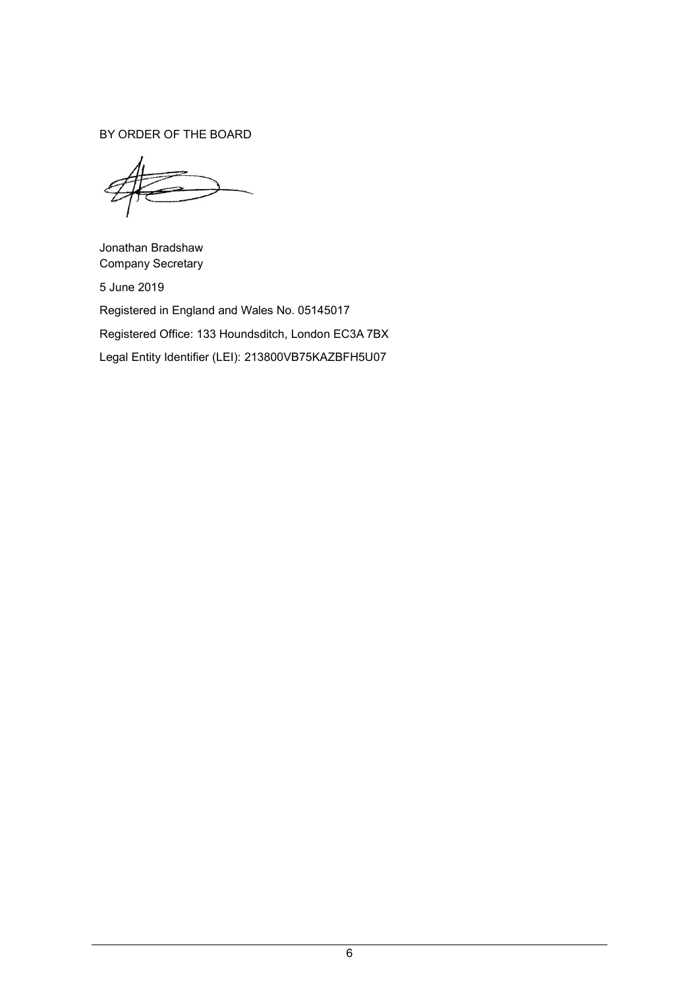BY ORDER OF THE BOARD

Jonathan Bradshaw Company Secretary 5 June 2019

Registered in England and Wales No. 05145017 Registered Office: 133 Houndsditch, London EC3A 7BX Legal Entity Identifier (LEI): 213800VB75KAZBFH5U07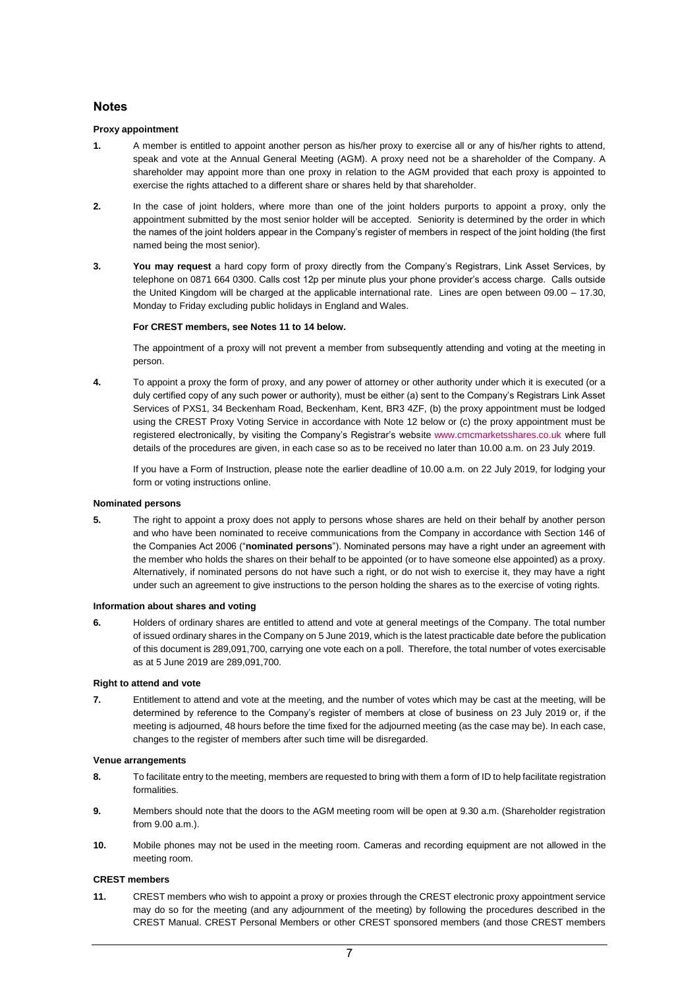### **Notes**

#### **Proxy appointment**

- **1.** A member is entitled to appoint another person as his/her proxy to exercise all or any of his/her rights to attend, speak and vote at the Annual General Meeting (AGM). A proxy need not be a shareholder of the Company. A shareholder may appoint more than one proxy in relation to the AGM provided that each proxy is appointed to exercise the rights attached to a different share or shares held by that shareholder.
- **2.** In the case of joint holders, where more than one of the joint holders purports to appoint a proxy, only the appointment submitted by the most senior holder will be accepted. Seniority is determined by the order in which the names of the joint holders appear in the Company's register of members in respect of the joint holding (the first named being the most senior).
- **3. You may request** a hard copy form of proxy directly from the Company's Registrars, Link Asset Services, by telephone on 0871 664 0300. Calls cost 12p per minute plus your phone provider's access charge. Calls outside the United Kingdom will be charged at the applicable international rate. Lines are open between 09.00 – 17.30, Monday to Friday excluding public holidays in England and Wales.

#### **For CREST members, see Notes 11 to 14 below.**

The appointment of a proxy will not prevent a member from subsequently attending and voting at the meeting in person.

**4.** To appoint a proxy the form of proxy, and any power of attorney or other authority under which it is executed (or a duly certified copy of any such power or authority), must be either (a) sent to the Company's Registrars Link Asset Services of PXS1, 34 Beckenham Road, Beckenham, Kent, BR3 4ZF, (b) the proxy appointment must be lodged using the CREST Proxy Voting Service in accordance with Note 12 below or (c) the proxy appointment must be registered electronically, by visiting the Company's Registrar's website [www.cmcmarketsshares.co.uk](http://www.capitashareportal.com/) where full details of the procedures are given, in each case so as to be received no later than 10.00 a.m. on 23 July 2019.

If you have a Form of Instruction, please note the earlier deadline of 10.00 a.m. on 22 July 2019, for lodging your form or voting instructions online.

#### **Nominated persons**

**5.** The right to appoint a proxy does not apply to persons whose shares are held on their behalf by another person and who have been nominated to receive communications from the Company in accordance with Section 146 of the Companies Act 2006 ("**nominated persons**"). Nominated persons may have a right under an agreement with the member who holds the shares on their behalf to be appointed (or to have someone else appointed) as a proxy. Alternatively, if nominated persons do not have such a right, or do not wish to exercise it, they may have a right under such an agreement to give instructions to the person holding the shares as to the exercise of voting rights.

#### **Information about shares and voting**

**6.** Holders of ordinary shares are entitled to attend and vote at general meetings of the Company. The total number of issued ordinary shares in the Company on 5 June 2019, which is the latest practicable date before the publication of this document is 289,091,700, carrying one vote each on a poll. Therefore, the total number of votes exercisable as at 5 June 2019 are 289,091,700.

#### **Right to attend and vote**

**7.** Entitlement to attend and vote at the meeting, and the number of votes which may be cast at the meeting, will be determined by reference to the Company's register of members at close of business on 23 July 2019 or, if the meeting is adjourned, 48 hours before the time fixed for the adjourned meeting (as the case may be). In each case, changes to the register of members after such time will be disregarded.

#### **Venue arrangements**

- **8.** To facilitate entry to the meeting, members are requested to bring with them a form of ID to help facilitate registration formalities.
- **9.** Members should note that the doors to the AGM meeting room will be open at 9.30 a.m. (Shareholder registration from 9.00 a.m.).
- **10.** Mobile phones may not be used in the meeting room. Cameras and recording equipment are not allowed in the meeting room.

#### **CREST members**

**11.** CREST members who wish to appoint a proxy or proxies through the CREST electronic proxy appointment service may do so for the meeting (and any adjournment of the meeting) by following the procedures described in the CREST Manual. CREST Personal Members or other CREST sponsored members (and those CREST members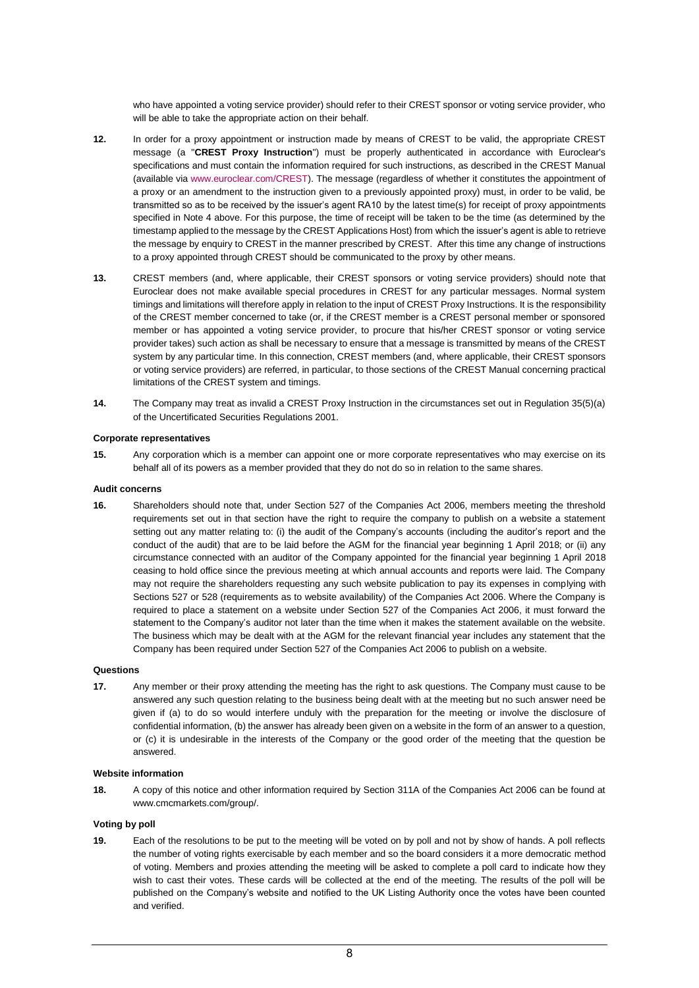who have appointed a voting service provider) should refer to their CREST sponsor or voting service provider, who will be able to take the appropriate action on their behalf.

- **12.** In order for a proxy appointment or instruction made by means of CREST to be valid, the appropriate CREST message (a "**CREST Proxy Instruction**") must be properly authenticated in accordance with Euroclear's specifications and must contain the information required for such instructions, as described in the CREST Manual (available vi[a www.euroclear.com/CREST\)](file://///erepfs01/Home_012$/szcurtis/My%20Documents/www.euroclear.com/CREST). The message (regardless of whether it constitutes the appointment of a proxy or an amendment to the instruction given to a previously appointed proxy) must, in order to be valid, be transmitted so as to be received by the issuer's agent RA10 by the latest time(s) for receipt of proxy appointments specified in Note 4 above. For this purpose, the time of receipt will be taken to be the time (as determined by the timestamp applied to the message by the CREST Applications Host) from which the issuer's agent is able to retrieve the message by enquiry to CREST in the manner prescribed by CREST. After this time any change of instructions to a proxy appointed through CREST should be communicated to the proxy by other means.
- **13.** CREST members (and, where applicable, their CREST sponsors or voting service providers) should note that Euroclear does not make available special procedures in CREST for any particular messages. Normal system timings and limitations will therefore apply in relation to the input of CREST Proxy Instructions. It is the responsibility of the CREST member concerned to take (or, if the CREST member is a CREST personal member or sponsored member or has appointed a voting service provider, to procure that his/her CREST sponsor or voting service provider takes) such action as shall be necessary to ensure that a message is transmitted by means of the CREST system by any particular time. In this connection, CREST members (and, where applicable, their CREST sponsors or voting service providers) are referred, in particular, to those sections of the CREST Manual concerning practical limitations of the CREST system and timings.
- **14.** The Company may treat as invalid a CREST Proxy Instruction in the circumstances set out in Regulation 35(5)(a) of the Uncertificated Securities Regulations 2001.

#### **Corporate representatives**

**15.** Any corporation which is a member can appoint one or more corporate representatives who may exercise on its behalf all of its powers as a member provided that they do not do so in relation to the same shares.

#### **Audit concerns**

**16.** Shareholders should note that, under Section 527 of the Companies Act 2006, members meeting the threshold requirements set out in that section have the right to require the company to publish on a website a statement setting out any matter relating to: (i) the audit of the Company's accounts (including the auditor's report and the conduct of the audit) that are to be laid before the AGM for the financial year beginning 1 April 2018; or (ii) any circumstance connected with an auditor of the Company appointed for the financial year beginning 1 April 2018 ceasing to hold office since the previous meeting at which annual accounts and reports were laid. The Company may not require the shareholders requesting any such website publication to pay its expenses in complying with Sections 527 or 528 (requirements as to website availability) of the Companies Act 2006. Where the Company is required to place a statement on a website under Section 527 of the Companies Act 2006, it must forward the statement to the Company's auditor not later than the time when it makes the statement available on the website. The business which may be dealt with at the AGM for the relevant financial year includes any statement that the Company has been required under Section 527 of the Companies Act 2006 to publish on a website.

#### **Questions**

**17.** Any member or their proxy attending the meeting has the right to ask questions. The Company must cause to be answered any such question relating to the business being dealt with at the meeting but no such answer need be given if (a) to do so would interfere unduly with the preparation for the meeting or involve the disclosure of confidential information, (b) the answer has already been given on a website in the form of an answer to a question, or (c) it is undesirable in the interests of the Company or the good order of the meeting that the question be answered.

#### **Website information**

**18.** A copy of this notice and other information required by Section 311A of the Companies Act 2006 can be found at www.cmcmarkets.com/group/.

#### **Voting by poll**

**19.** Each of the resolutions to be put to the meeting will be voted on by poll and not by show of hands. A poll reflects the number of voting rights exercisable by each member and so the board considers it a more democratic method of voting. Members and proxies attending the meeting will be asked to complete a poll card to indicate how they wish to cast their votes. These cards will be collected at the end of the meeting. The results of the poll will be published on the Company's website and notified to the UK Listing Authority once the votes have been counted and verified.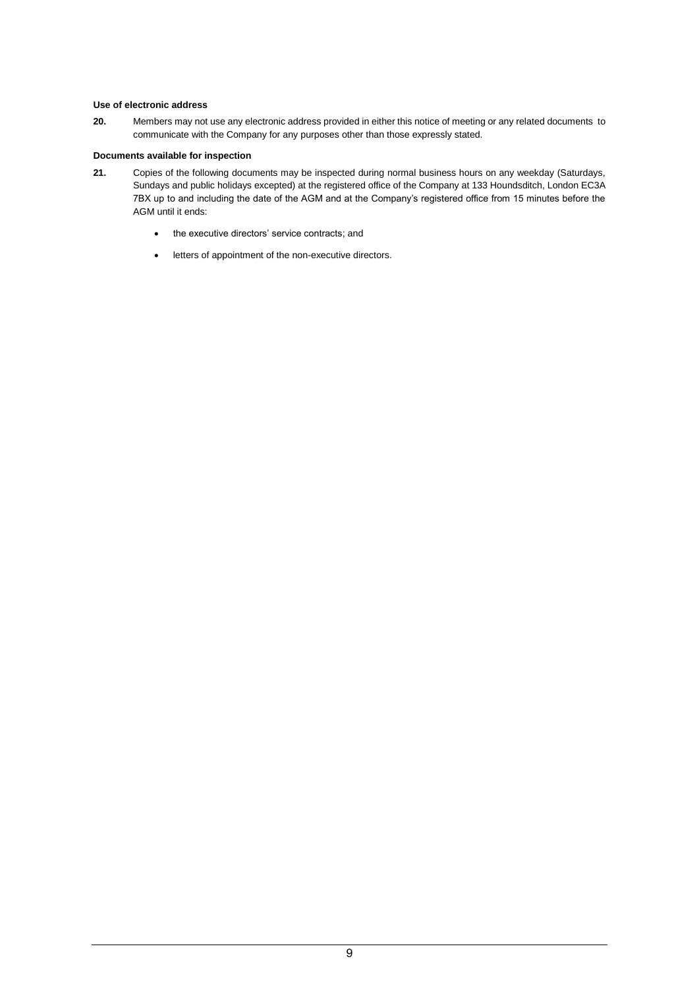#### **Use of electronic address**

**20.** Members may not use any electronic address provided in either this notice of meeting or any related documents to communicate with the Company for any purposes other than those expressly stated.

### **Documents available for inspection**

- **21.** Copies of the following documents may be inspected during normal business hours on any weekday (Saturdays, Sundays and public holidays excepted) at the registered office of the Company at 133 Houndsditch, London EC3A 7BX up to and including the date of the AGM and at the Company's registered office from 15 minutes before the AGM until it ends:
	- the executive directors' service contracts; and
	- letters of appointment of the non-executive directors.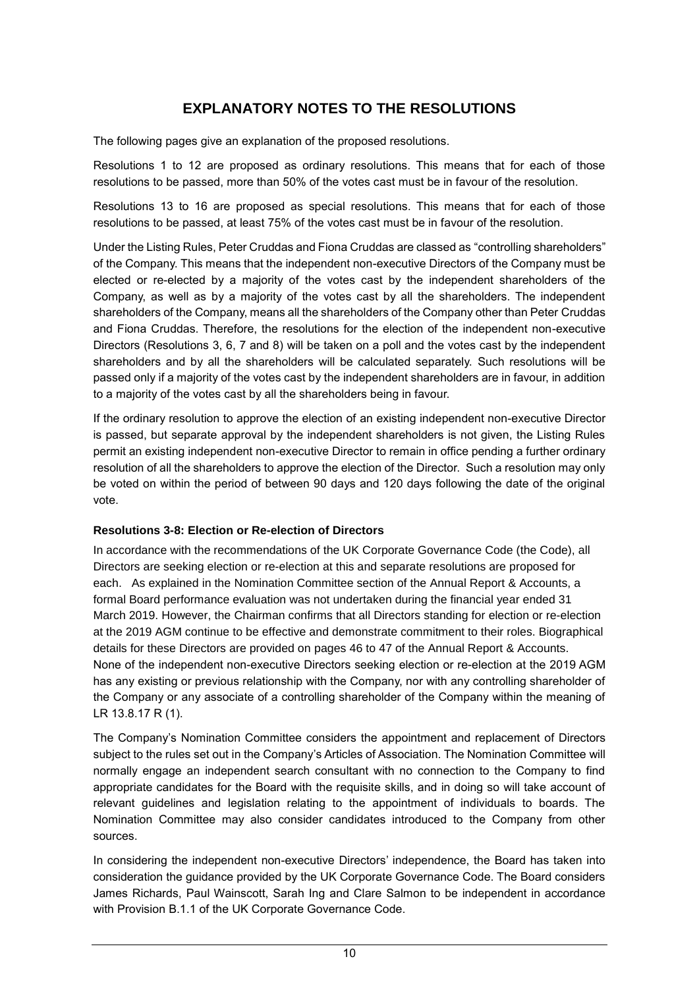# **EXPLANATORY NOTES TO THE RESOLUTIONS**

The following pages give an explanation of the proposed resolutions.

Resolutions 1 to 12 are proposed as ordinary resolutions. This means that for each of those resolutions to be passed, more than 50% of the votes cast must be in favour of the resolution.

Resolutions 13 to 16 are proposed as special resolutions. This means that for each of those resolutions to be passed, at least 75% of the votes cast must be in favour of the resolution.

Under the Listing Rules, Peter Cruddas and Fiona Cruddas are classed as "controlling shareholders" of the Company. This means that the independent non-executive Directors of the Company must be elected or re-elected by a majority of the votes cast by the independent shareholders of the Company, as well as by a majority of the votes cast by all the shareholders. The independent shareholders of the Company, means all the shareholders of the Company other than Peter Cruddas and Fiona Cruddas. Therefore, the resolutions for the election of the independent non-executive Directors (Resolutions 3, 6, 7 and 8) will be taken on a poll and the votes cast by the independent shareholders and by all the shareholders will be calculated separately. Such resolutions will be passed only if a majority of the votes cast by the independent shareholders are in favour, in addition to a majority of the votes cast by all the shareholders being in favour.

If the ordinary resolution to approve the election of an existing independent non-executive Director is passed, but separate approval by the independent shareholders is not given, the Listing Rules permit an existing independent non-executive Director to remain in office pending a further ordinary resolution of all the shareholders to approve the election of the Director. Such a resolution may only be voted on within the period of between 90 days and 120 days following the date of the original vote.

### **Resolutions 3-8: Election or Re-election of Directors**

In accordance with the recommendations of the UK Corporate Governance Code (the Code), all Directors are seeking election or re-election at this and separate resolutions are proposed for each. As explained in the Nomination Committee section of the Annual Report & Accounts, a formal Board performance evaluation was not undertaken during the financial year ended 31 March 2019. However, the Chairman confirms that all Directors standing for election or re-election at the 2019 AGM continue to be effective and demonstrate commitment to their roles. Biographical details for these Directors are provided on pages 46 to 47 of the Annual Report & Accounts. None of the independent non-executive Directors seeking election or re-election at the 2019 AGM has any existing or previous relationship with the Company, nor with any controlling shareholder of the Company or any associate of a controlling shareholder of the Company within the meaning of LR 13.8.17 R (1).

The Company's Nomination Committee considers the appointment and replacement of Directors subject to the rules set out in the Company's Articles of Association. The Nomination Committee will normally engage an independent search consultant with no connection to the Company to find appropriate candidates for the Board with the requisite skills, and in doing so will take account of relevant guidelines and legislation relating to the appointment of individuals to boards. The Nomination Committee may also consider candidates introduced to the Company from other sources.

In considering the independent non-executive Directors' independence, the Board has taken into consideration the guidance provided by the UK Corporate Governance Code. The Board considers James Richards, Paul Wainscott, Sarah Ing and Clare Salmon to be independent in accordance with Provision B.1.1 of the UK Corporate Governance Code.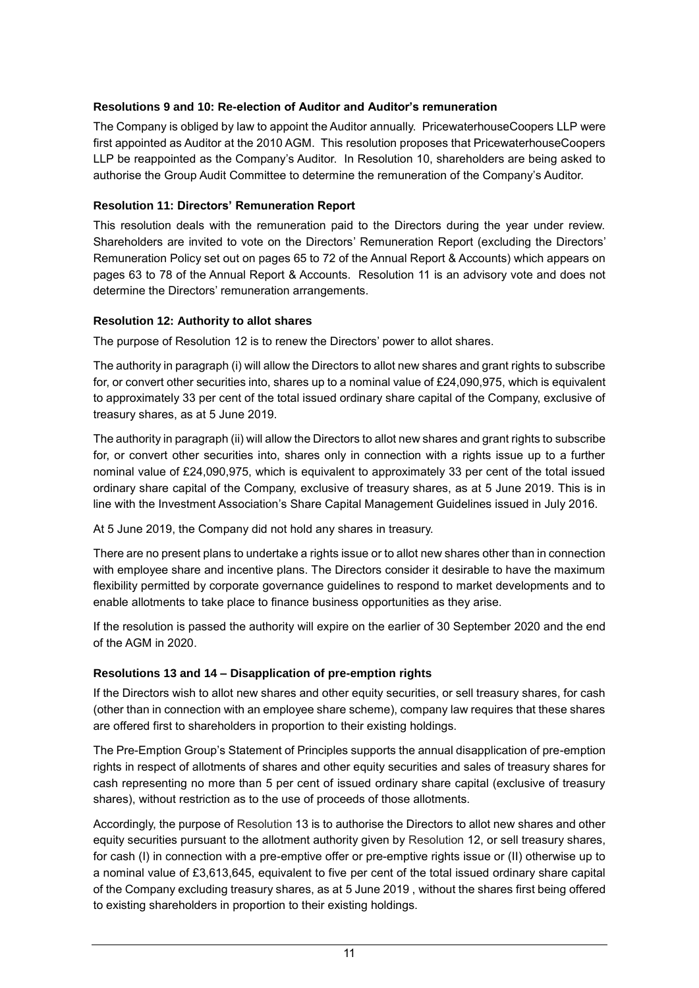### **Resolutions 9 and 10: Re-election of Auditor and Auditor's remuneration**

The Company is obliged by law to appoint the Auditor annually. PricewaterhouseCoopers LLP were first appointed as Auditor at the 2010 AGM. This resolution proposes that PricewaterhouseCoopers LLP be reappointed as the Company's Auditor. In Resolution 10, shareholders are being asked to authorise the Group Audit Committee to determine the remuneration of the Company's Auditor.

### **Resolution 11: Directors' Remuneration Report**

This resolution deals with the remuneration paid to the Directors during the year under review. Shareholders are invited to vote on the Directors' Remuneration Report (excluding the Directors' Remuneration Policy set out on pages 65 to 72 of the Annual Report & Accounts) which appears on pages 63 to 78 of the Annual Report & Accounts. Resolution 11 is an advisory vote and does not determine the Directors' remuneration arrangements.

### **Resolution 12: Authority to allot shares**

The purpose of Resolution 12 is to renew the Directors' power to allot shares.

The authority in paragraph (i) will allow the Directors to allot new shares and grant rights to subscribe for, or convert other securities into, shares up to a nominal value of £24,090,975, which is equivalent to approximately 33 per cent of the total issued ordinary share capital of the Company, exclusive of treasury shares, as at 5 June 2019.

The authority in paragraph (ii) will allow the Directors to allot new shares and grant rights to subscribe for, or convert other securities into, shares only in connection with a rights issue up to a further nominal value of £24,090,975, which is equivalent to approximately 33 per cent of the total issued ordinary share capital of the Company, exclusive of treasury shares, as at 5 June 2019. This is in line with the Investment Association's Share Capital Management Guidelines issued in July 2016.

At 5 June 2019, the Company did not hold any shares in treasury.

There are no present plans to undertake a rights issue or to allot new shares other than in connection with employee share and incentive plans. The Directors consider it desirable to have the maximum flexibility permitted by corporate governance guidelines to respond to market developments and to enable allotments to take place to finance business opportunities as they arise.

If the resolution is passed the authority will expire on the earlier of 30 September 2020 and the end of the AGM in 2020.

### **Resolutions 13 and 14 – Disapplication of pre-emption rights**

If the Directors wish to allot new shares and other equity securities, or sell treasury shares, for cash (other than in connection with an employee share scheme), company law requires that these shares are offered first to shareholders in proportion to their existing holdings.

The Pre-Emption Group's Statement of Principles supports the annual disapplication of pre-emption rights in respect of allotments of shares and other equity securities and sales of treasury shares for cash representing no more than 5 per cent of issued ordinary share capital (exclusive of treasury shares), without restriction as to the use of proceeds of those allotments.

Accordingly, the purpose of Resolution 13 is to authorise the Directors to allot new shares and other equity securities pursuant to the allotment authority given by Resolution 12, or sell treasury shares, for cash (I) in connection with a pre-emptive offer or pre-emptive rights issue or (II) otherwise up to a nominal value of £3,613,645, equivalent to five per cent of the total issued ordinary share capital of the Company excluding treasury shares, as at 5 June 2019 , without the shares first being offered to existing shareholders in proportion to their existing holdings.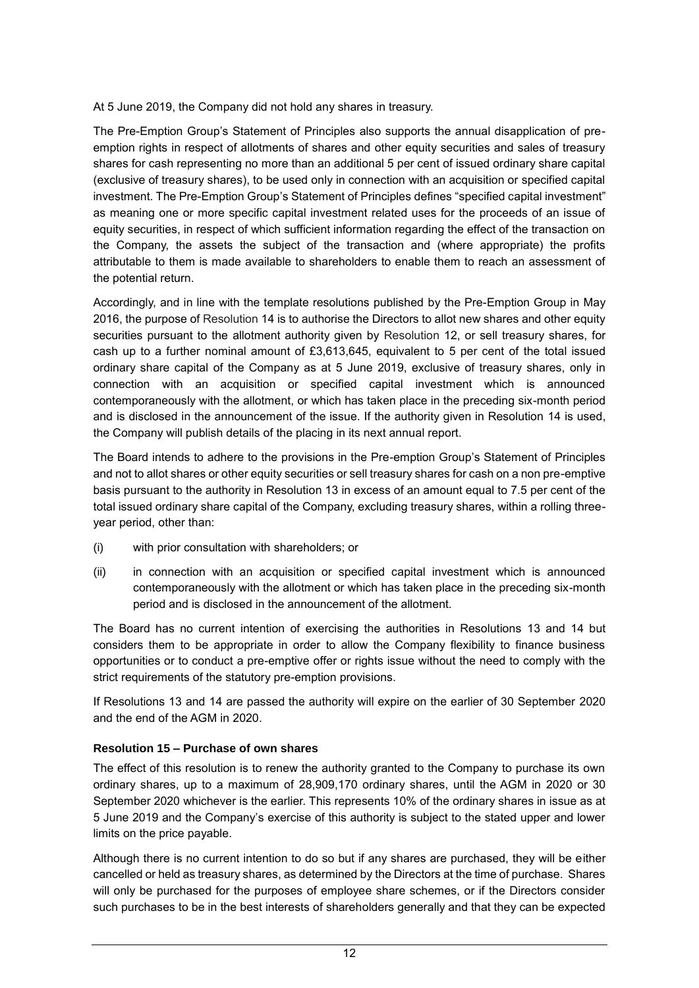At 5 June 2019, the Company did not hold any shares in treasury.

The Pre-Emption Group's Statement of Principles also supports the annual disapplication of preemption rights in respect of allotments of shares and other equity securities and sales of treasury shares for cash representing no more than an additional 5 per cent of issued ordinary share capital (exclusive of treasury shares), to be used only in connection with an acquisition or specified capital investment. The Pre-Emption Group's Statement of Principles defines "specified capital investment" as meaning one or more specific capital investment related uses for the proceeds of an issue of equity securities, in respect of which sufficient information regarding the effect of the transaction on the Company, the assets the subject of the transaction and (where appropriate) the profits attributable to them is made available to shareholders to enable them to reach an assessment of the potential return.

Accordingly, and in line with the template resolutions published by the Pre-Emption Group in May 2016, the purpose of Resolution 14 is to authorise the Directors to allot new shares and other equity securities pursuant to the allotment authority given by Resolution 12, or sell treasury shares, for cash up to a further nominal amount of £3,613,645, equivalent to 5 per cent of the total issued ordinary share capital of the Company as at 5 June 2019, exclusive of treasury shares, only in connection with an acquisition or specified capital investment which is announced contemporaneously with the allotment, or which has taken place in the preceding six-month period and is disclosed in the announcement of the issue. If the authority given in Resolution 14 is used, the Company will publish details of the placing in its next annual report.

The Board intends to adhere to the provisions in the Pre-emption Group's Statement of Principles and not to allot shares or other equity securities or sell treasury shares for cash on a non pre-emptive basis pursuant to the authority in Resolution 13 in excess of an amount equal to 7.5 per cent of the total issued ordinary share capital of the Company, excluding treasury shares, within a rolling threeyear period, other than:

- (i) with prior consultation with shareholders; or
- (ii) in connection with an acquisition or specified capital investment which is announced contemporaneously with the allotment or which has taken place in the preceding six-month period and is disclosed in the announcement of the allotment.

The Board has no current intention of exercising the authorities in Resolutions 13 and 14 but considers them to be appropriate in order to allow the Company flexibility to finance business opportunities or to conduct a pre-emptive offer or rights issue without the need to comply with the strict requirements of the statutory pre-emption provisions.

If Resolutions 13 and 14 are passed the authority will expire on the earlier of 30 September 2020 and the end of the AGM in 2020.

### **Resolution 15 – Purchase of own shares**

The effect of this resolution is to renew the authority granted to the Company to purchase its own ordinary shares, up to a maximum of 28,909,170 ordinary shares, until the AGM in 2020 or 30 September 2020 whichever is the earlier. This represents 10% of the ordinary shares in issue as at 5 June 2019 and the Company's exercise of this authority is subject to the stated upper and lower limits on the price payable.

Although there is no current intention to do so but if any shares are purchased, they will be either cancelled or held as treasury shares, as determined by the Directors at the time of purchase. Shares will only be purchased for the purposes of employee share schemes, or if the Directors consider such purchases to be in the best interests of shareholders generally and that they can be expected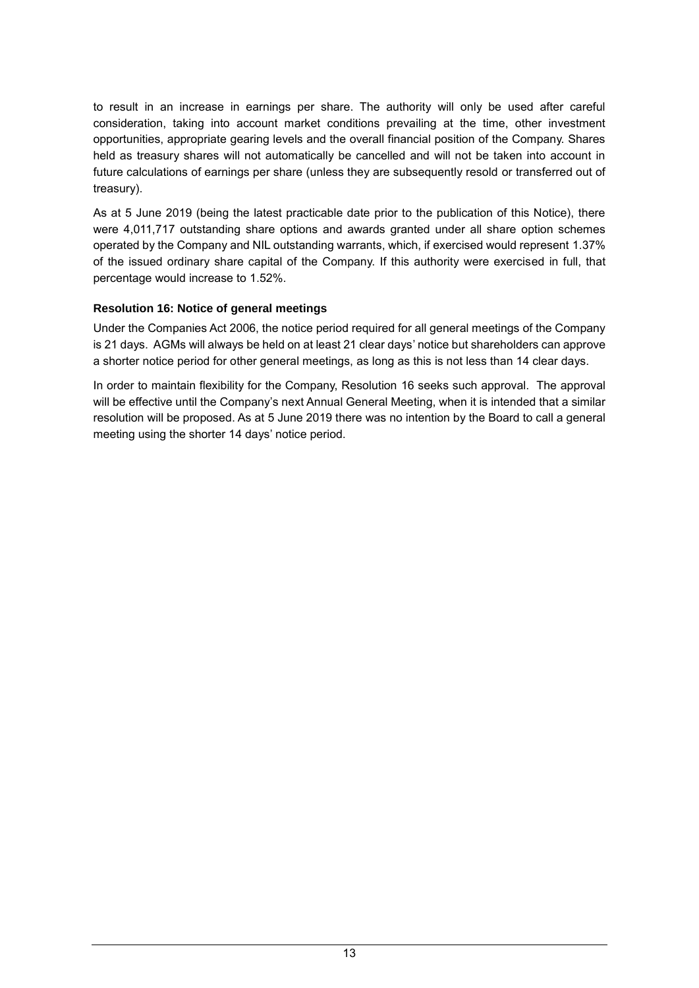to result in an increase in earnings per share. The authority will only be used after careful consideration, taking into account market conditions prevailing at the time, other investment opportunities, appropriate gearing levels and the overall financial position of the Company. Shares held as treasury shares will not automatically be cancelled and will not be taken into account in future calculations of earnings per share (unless they are subsequently resold or transferred out of treasury).

As at 5 June 2019 (being the latest practicable date prior to the publication of this Notice), there were 4,011,717 outstanding share options and awards granted under all share option schemes operated by the Company and NIL outstanding warrants, which, if exercised would represent 1.37% of the issued ordinary share capital of the Company. If this authority were exercised in full, that percentage would increase to 1.52%.

### **Resolution 16: Notice of general meetings**

Under the Companies Act 2006, the notice period required for all general meetings of the Company is 21 days. AGMs will always be held on at least 21 clear days' notice but shareholders can approve a shorter notice period for other general meetings, as long as this is not less than 14 clear days.

In order to maintain flexibility for the Company, Resolution 16 seeks such approval. The approval will be effective until the Company's next Annual General Meeting, when it is intended that a similar resolution will be proposed. As at 5 June 2019 there was no intention by the Board to call a general meeting using the shorter 14 days' notice period.